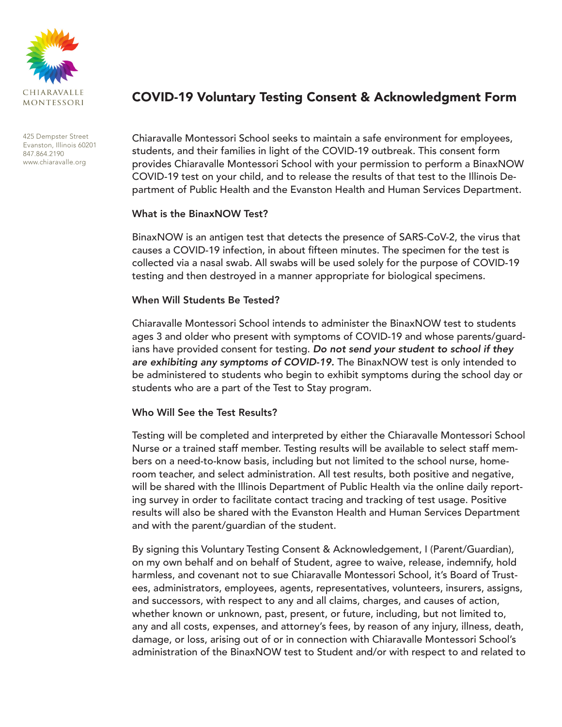

425 Dempster Street Evanston, Illinois 60201 847.864.2190 www.chiaravalle.org

# COVID-19 Voluntary Testing Consent & Acknowledgment Form

Chiaravalle Montessori School seeks to maintain a safe environment for employees, students, and their families in light of the COVID-19 outbreak. This consent form provides Chiaravalle Montessori School with your permission to perform a BinaxNOW COVID-19 test on your child, and to release the results of that test to the Illinois Department of Public Health and the Evanston Health and Human Services Department.

#### What is the BinaxNOW Test?

BinaxNOW is an antigen test that detects the presence of SARS-CoV-2, the virus that causes a COVID-19 infection, in about fifteen minutes. The specimen for the test is collected via a nasal swab. All swabs will be used solely for the purpose of COVID-19 testing and then destroyed in a manner appropriate for biological specimens.

### When Will Students Be Tested?

Chiaravalle Montessori School intends to administer the BinaxNOW test to students ages 3 and older who present with symptoms of COVID-19 and whose parents/guardians have provided consent for testing. Do not send your student to school if they are exhibiting any symptoms of COVID-19. The BinaxNOW test is only intended to be administered to students who begin to exhibit symptoms during the school day or students who are a part of the Test to Stay program.

### Who Will See the Test Results?

Testing will be completed and interpreted by either the Chiaravalle Montessori School Nurse or a trained staff member. Testing results will be available to select staff members on a need-to-know basis, including but not limited to the school nurse, homeroom teacher, and select administration. All test results, both positive and negative, will be shared with the Illinois Department of Public Health via the online daily reporting survey in order to facilitate contact tracing and tracking of test usage. Positive results will also be shared with the Evanston Health and Human Services Department and with the parent/guardian of the student.

By signing this Voluntary Testing Consent & Acknowledgement, I (Parent/Guardian), on my own behalf and on behalf of Student, agree to waive, release, indemnify, hold harmless, and covenant not to sue Chiaravalle Montessori School, it's Board of Trustees, administrators, employees, agents, representatives, volunteers, insurers, assigns, and successors, with respect to any and all claims, charges, and causes of action, whether known or unknown, past, present, or future, including, but not limited to, any and all costs, expenses, and attorney's fees, by reason of any injury, illness, death, damage, or loss, arising out of or in connection with Chiaravalle Montessori School's administration of the BinaxNOW test to Student and/or with respect to and related to